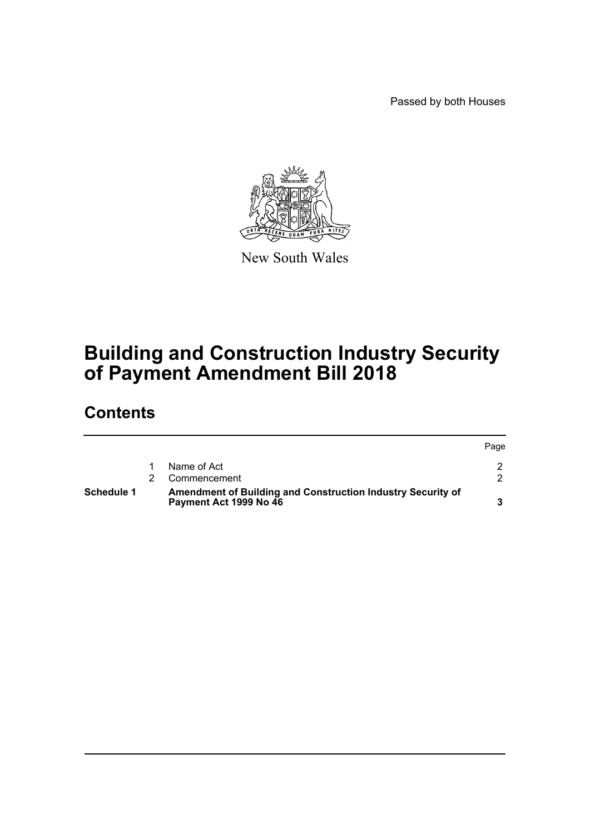Passed by both Houses



New South Wales

# **Building and Construction Industry Security of Payment Amendment Bill 2018**

# **Contents**

| <b>Schedule 1</b> | Amendment of Building and Construction Industry Security of<br>Payment Act 1999 No 46 |      |
|-------------------|---------------------------------------------------------------------------------------|------|
|                   | Commencement                                                                          |      |
|                   | Name of Act                                                                           |      |
|                   |                                                                                       | Page |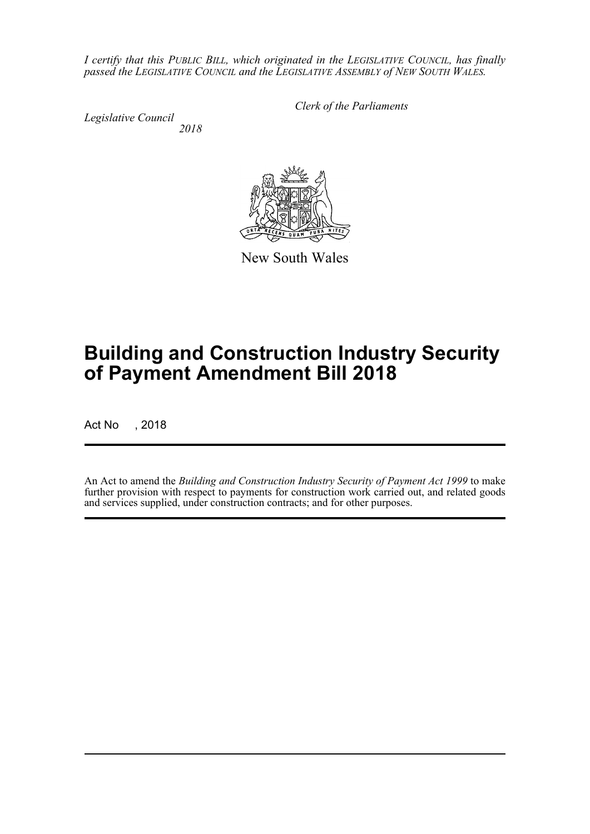*I certify that this PUBLIC BILL, which originated in the LEGISLATIVE COUNCIL, has finally passed the LEGISLATIVE COUNCIL and the LEGISLATIVE ASSEMBLY of NEW SOUTH WALES.*

*Legislative Council 2018* *Clerk of the Parliaments*



New South Wales

# **Building and Construction Industry Security of Payment Amendment Bill 2018**

Act No , 2018

An Act to amend the *Building and Construction Industry Security of Payment Act 1999* to make further provision with respect to payments for construction work carried out, and related goods and services supplied, under construction contracts; and for other purposes.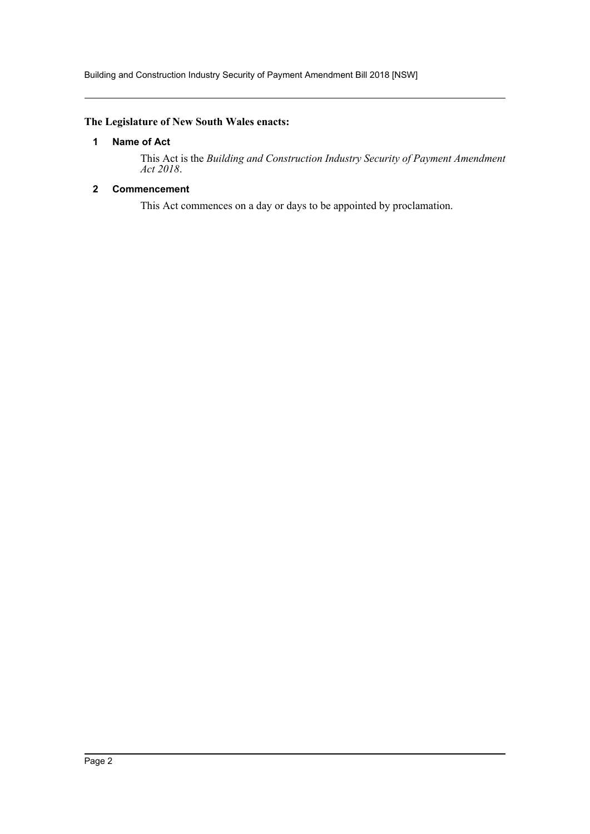Building and Construction Industry Security of Payment Amendment Bill 2018 [NSW]

## <span id="page-2-0"></span>**The Legislature of New South Wales enacts:**

## **1 Name of Act**

This Act is the *Building and Construction Industry Security of Payment Amendment Act 2018*.

## <span id="page-2-1"></span>**2 Commencement**

This Act commences on a day or days to be appointed by proclamation.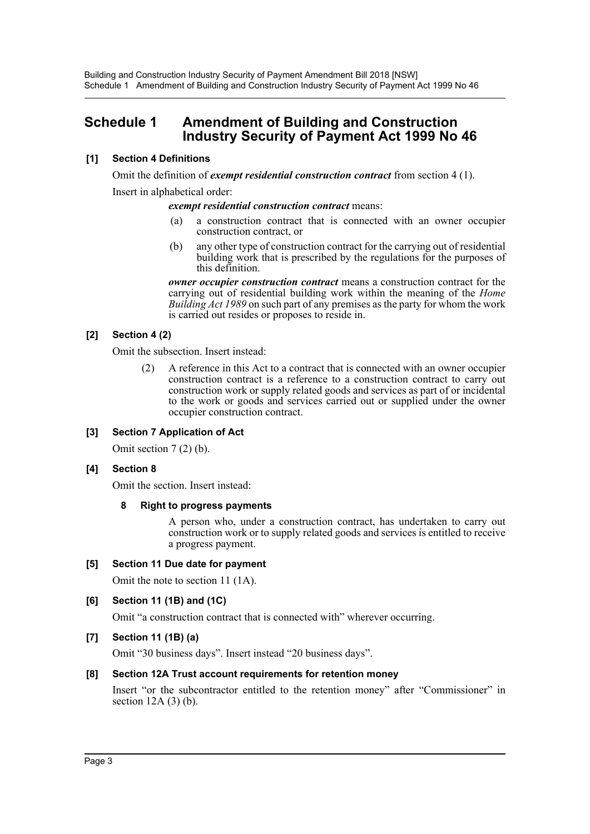## <span id="page-3-0"></span>**Schedule 1 Amendment of Building and Construction Industry Security of Payment Act 1999 No 46**

## **[1] Section 4 Definitions**

Omit the definition of *exempt residential construction contract* from section 4 (1). Insert in alphabetical order:

#### *exempt residential construction contract* means:

- (a) a construction contract that is connected with an owner occupier construction contract, or
- (b) any other type of construction contract for the carrying out of residential building work that is prescribed by the regulations for the purposes of this definition.

*owner occupier construction contract* means a construction contract for the carrying out of residential building work within the meaning of the *Home Building Act 1989* on such part of any premises as the party for whom the work is carried out resides or proposes to reside in.

## **[2] Section 4 (2)**

Omit the subsection. Insert instead:

(2) A reference in this Act to a contract that is connected with an owner occupier construction contract is a reference to a construction contract to carry out construction work or supply related goods and services as part of or incidental to the work or goods and services carried out or supplied under the owner occupier construction contract.

## **[3] Section 7 Application of Act**

Omit section 7 (2) (b).

## **[4] Section 8**

Omit the section. Insert instead:

#### **8 Right to progress payments**

A person who, under a construction contract, has undertaken to carry out construction work or to supply related goods and services is entitled to receive a progress payment.

## **[5] Section 11 Due date for payment**

Omit the note to section 11 (1A).

## **[6] Section 11 (1B) and (1C)**

Omit "a construction contract that is connected with" wherever occurring.

## **[7] Section 11 (1B) (a)**

Omit "30 business days". Insert instead "20 business days".

## **[8] Section 12A Trust account requirements for retention money**

Insert "or the subcontractor entitled to the retention money" after "Commissioner" in section 12A (3) (b).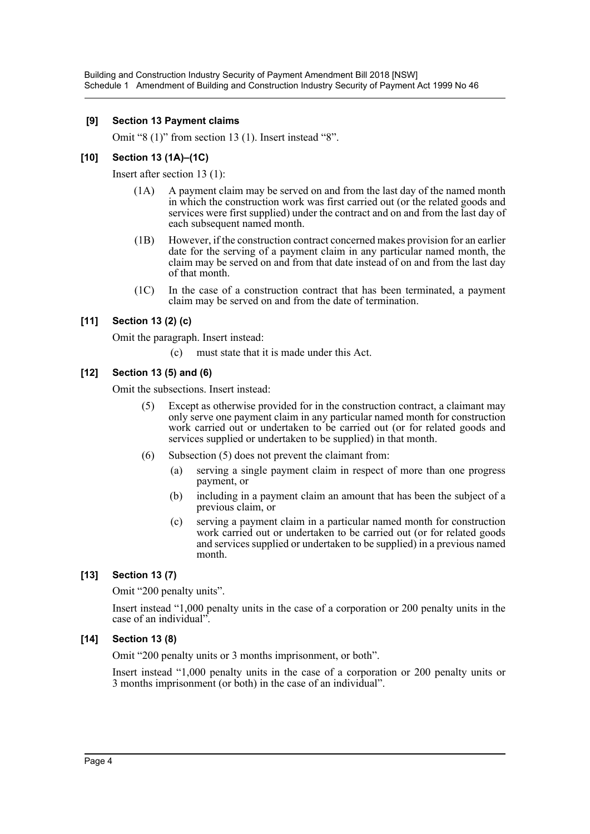#### **[9] Section 13 Payment claims**

Omit "8 (1)" from section 13 (1). Insert instead "8".

### **[10] Section 13 (1A)–(1C)**

Insert after section 13 (1):

- (1A) A payment claim may be served on and from the last day of the named month in which the construction work was first carried out (or the related goods and services were first supplied) under the contract and on and from the last day of each subsequent named month.
- (1B) However, if the construction contract concerned makes provision for an earlier date for the serving of a payment claim in any particular named month, the claim may be served on and from that date instead of on and from the last day of that month.
- (1C) In the case of a construction contract that has been terminated, a payment claim may be served on and from the date of termination.

## **[11] Section 13 (2) (c)**

Omit the paragraph. Insert instead:

(c) must state that it is made under this Act.

## **[12] Section 13 (5) and (6)**

Omit the subsections. Insert instead:

- (5) Except as otherwise provided for in the construction contract, a claimant may only serve one payment claim in any particular named month for construction work carried out or undertaken to be carried out (or for related goods and services supplied or undertaken to be supplied) in that month.
- (6) Subsection (5) does not prevent the claimant from:
	- (a) serving a single payment claim in respect of more than one progress payment, or
	- (b) including in a payment claim an amount that has been the subject of a previous claim, or
	- (c) serving a payment claim in a particular named month for construction work carried out or undertaken to be carried out (or for related goods and services supplied or undertaken to be supplied) in a previous named month.

## **[13] Section 13 (7)**

Omit "200 penalty units".

Insert instead "1,000 penalty units in the case of a corporation or 200 penalty units in the case of an individual".

## **[14] Section 13 (8)**

Omit "200 penalty units or 3 months imprisonment, or both".

Insert instead "1,000 penalty units in the case of a corporation or 200 penalty units or 3 months imprisonment (or both) in the case of an individual".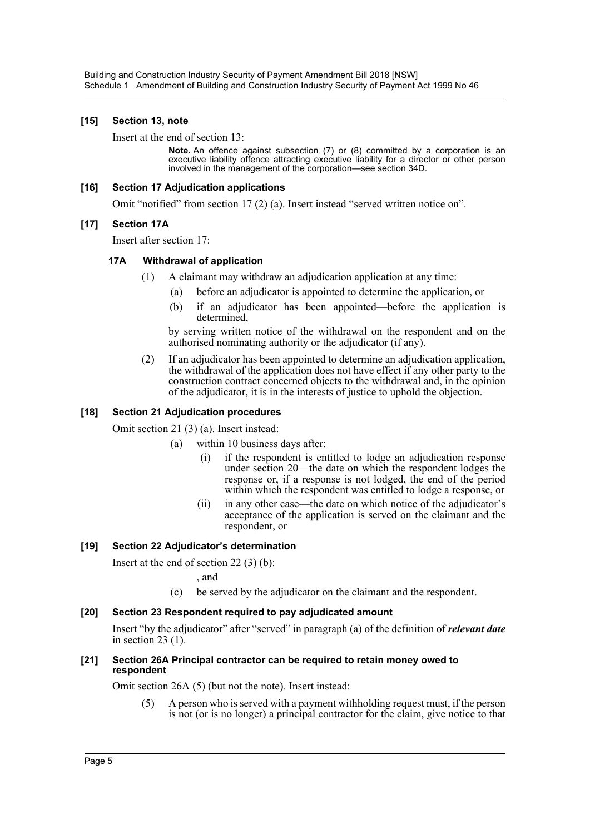### **[15] Section 13, note**

Insert at the end of section 13:

**Note.** An offence against subsection (7) or (8) committed by a corporation is an executive liability offence attracting executive liability for a director or other person involved in the management of the corporation—see section 34D.

#### **[16] Section 17 Adjudication applications**

Omit "notified" from section 17 (2) (a). Insert instead "served written notice on".

#### **[17] Section 17A**

Insert after section 17:

#### **17A Withdrawal of application**

- (1) A claimant may withdraw an adjudication application at any time:
	- (a) before an adjudicator is appointed to determine the application, or
	- (b) if an adjudicator has been appointed—before the application is determined,

by serving written notice of the withdrawal on the respondent and on the authorised nominating authority or the adjudicator (if any).

(2) If an adjudicator has been appointed to determine an adjudication application, the withdrawal of the application does not have effect if any other party to the construction contract concerned objects to the withdrawal and, in the opinion of the adjudicator, it is in the interests of justice to uphold the objection.

#### **[18] Section 21 Adjudication procedures**

Omit section 21 (3) (a). Insert instead:

- (a) within 10 business days after:
	- (i) if the respondent is entitled to lodge an adjudication response under section 20—the date on which the respondent lodges the response or, if a response is not lodged, the end of the period within which the respondent was entitled to lodge a response, or
	- (ii) in any other case—the date on which notice of the adjudicator's acceptance of the application is served on the claimant and the respondent, or

## **[19] Section 22 Adjudicator's determination**

Insert at the end of section 22 (3) (b):

, and

(c) be served by the adjudicator on the claimant and the respondent.

#### **[20] Section 23 Respondent required to pay adjudicated amount**

Insert "by the adjudicator" after "served" in paragraph (a) of the definition of *relevant date* in section  $23$  (1).

#### **[21] Section 26A Principal contractor can be required to retain money owed to respondent**

Omit section 26A (5) (but not the note). Insert instead:

(5) A person who is served with a payment withholding request must, if the person is not (or is no longer) a principal contractor for the claim, give notice to that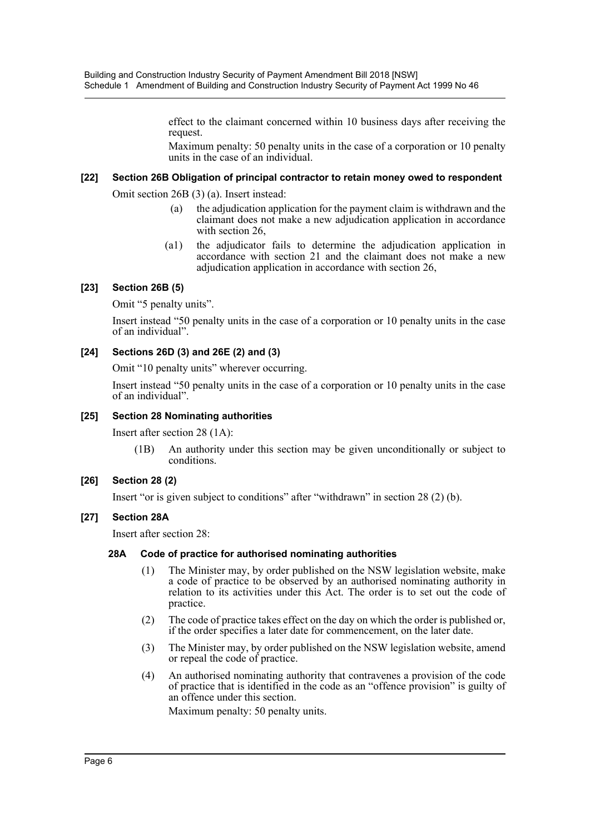effect to the claimant concerned within 10 business days after receiving the request.

Maximum penalty: 50 penalty units in the case of a corporation or 10 penalty units in the case of an individual.

#### **[22] Section 26B Obligation of principal contractor to retain money owed to respondent**

Omit section 26B (3) (a). Insert instead:

- (a) the adjudication application for the payment claim is withdrawn and the claimant does not make a new adjudication application in accordance with section 26,
- (a1) the adjudicator fails to determine the adjudication application in accordance with section 21 and the claimant does not make a new adjudication application in accordance with section 26,

## **[23] Section 26B (5)**

Omit "5 penalty units".

Insert instead "50 penalty units in the case of a corporation or 10 penalty units in the case of an individual".

## **[24] Sections 26D (3) and 26E (2) and (3)**

Omit "10 penalty units" wherever occurring.

Insert instead "50 penalty units in the case of a corporation or 10 penalty units in the case of an individual".

### **[25] Section 28 Nominating authorities**

Insert after section 28 (1A):

(1B) An authority under this section may be given unconditionally or subject to conditions.

## **[26] Section 28 (2)**

Insert "or is given subject to conditions" after "withdrawn" in section 28 (2) (b).

#### **[27] Section 28A**

Insert after section 28:

#### **28A Code of practice for authorised nominating authorities**

- (1) The Minister may, by order published on the NSW legislation website, make a code of practice to be observed by an authorised nominating authority in relation to its activities under this Act. The order is to set out the code of practice.
- (2) The code of practice takes effect on the day on which the order is published or, if the order specifies a later date for commencement, on the later date.
- (3) The Minister may, by order published on the NSW legislation website, amend or repeal the code of practice.
- (4) An authorised nominating authority that contravenes a provision of the code of practice that is identified in the code as an "offence provision" is guilty of an offence under this section.

Maximum penalty: 50 penalty units.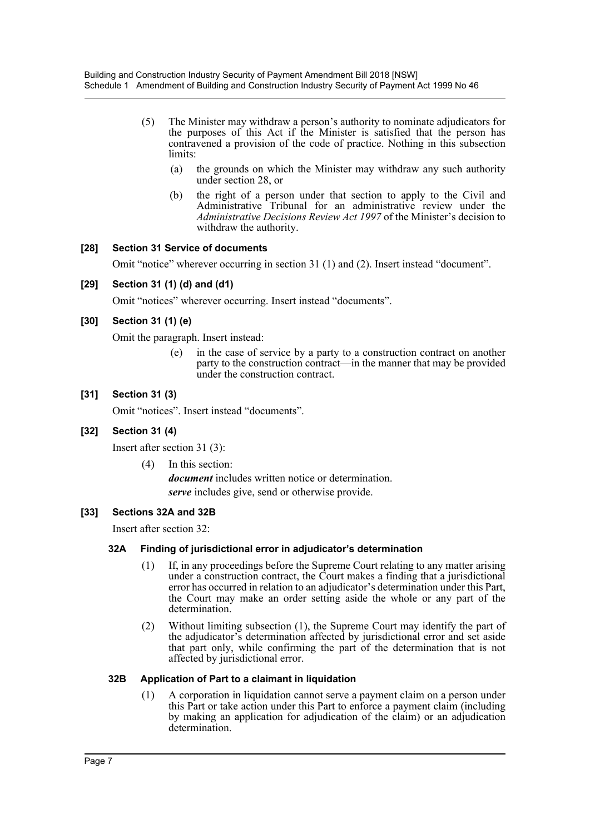- (5) The Minister may withdraw a person's authority to nominate adjudicators for the purposes of this Act if the Minister is satisfied that the person has contravened a provision of the code of practice. Nothing in this subsection limits:
	- (a) the grounds on which the Minister may withdraw any such authority under section 28, or
	- (b) the right of a person under that section to apply to the Civil and Administrative Tribunal for an administrative review under the *Administrative Decisions Review Act 1997* of the Minister's decision to withdraw the authority.

#### **[28] Section 31 Service of documents**

Omit "notice" wherever occurring in section 31 (1) and (2). Insert instead "document".

#### **[29] Section 31 (1) (d) and (d1)**

Omit "notices" wherever occurring. Insert instead "documents".

#### **[30] Section 31 (1) (e)**

Omit the paragraph. Insert instead:

(e) in the case of service by a party to a construction contract on another party to the construction contract—in the manner that may be provided under the construction contract.

#### **[31] Section 31 (3)**

Omit "notices". Insert instead "documents".

## **[32] Section 31 (4)**

Insert after section 31 (3):

(4) In this section:

*document* includes written notice or determination. *serve* includes give, send or otherwise provide.

#### **[33] Sections 32A and 32B**

Insert after section 32:

#### **32A Finding of jurisdictional error in adjudicator's determination**

- (1) If, in any proceedings before the Supreme Court relating to any matter arising under a construction contract, the Court makes a finding that a jurisdictional error has occurred in relation to an adjudicator's determination under this Part, the Court may make an order setting aside the whole or any part of the determination.
- (2) Without limiting subsection (1), the Supreme Court may identify the part of the adjudicator's determination affected by jurisdictional error and set aside that part only, while confirming the part of the determination that is not affected by jurisdictional error.

#### **32B Application of Part to a claimant in liquidation**

(1) A corporation in liquidation cannot serve a payment claim on a person under this Part or take action under this Part to enforce a payment claim (including by making an application for adjudication of the claim) or an adjudication determination.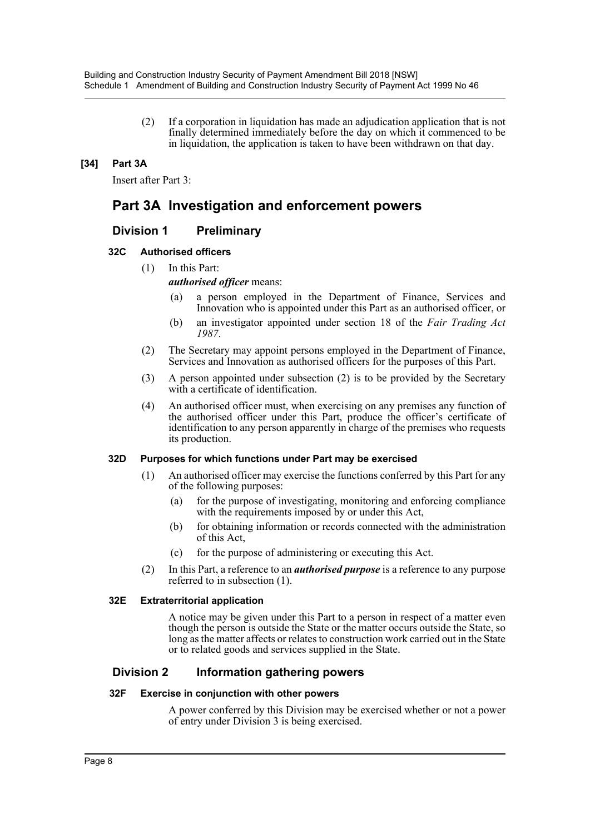(2) If a corporation in liquidation has made an adjudication application that is not finally determined immediately before the day on which it commenced to be in liquidation, the application is taken to have been withdrawn on that day.

## **[34] Part 3A**

Insert after Part 3:

## **Part 3A Investigation and enforcement powers**

## **Division 1 Preliminary**

#### **32C Authorised officers**

(1) In this Part:

*authorised officer* means:

- (a) a person employed in the Department of Finance, Services and Innovation who is appointed under this Part as an authorised officer, or
- (b) an investigator appointed under section 18 of the *Fair Trading Act 1987*.
- (2) The Secretary may appoint persons employed in the Department of Finance, Services and Innovation as authorised officers for the purposes of this Part.
- (3) A person appointed under subsection (2) is to be provided by the Secretary with a certificate of identification.
- (4) An authorised officer must, when exercising on any premises any function of the authorised officer under this Part, produce the officer's certificate of identification to any person apparently in charge of the premises who requests its production.

#### **32D Purposes for which functions under Part may be exercised**

- (1) An authorised officer may exercise the functions conferred by this Part for any of the following purposes:
	- (a) for the purpose of investigating, monitoring and enforcing compliance with the requirements imposed by or under this Act,
	- (b) for obtaining information or records connected with the administration of this Act,
	- (c) for the purpose of administering or executing this Act.
- (2) In this Part, a reference to an *authorised purpose* is a reference to any purpose referred to in subsection (1).

#### **32E Extraterritorial application**

A notice may be given under this Part to a person in respect of a matter even though the person is outside the State or the matter occurs outside the State, so long as the matter affects or relates to construction work carried out in the State or to related goods and services supplied in the State.

## **Division 2 Information gathering powers**

#### **32F Exercise in conjunction with other powers**

A power conferred by this Division may be exercised whether or not a power of entry under Division 3 is being exercised.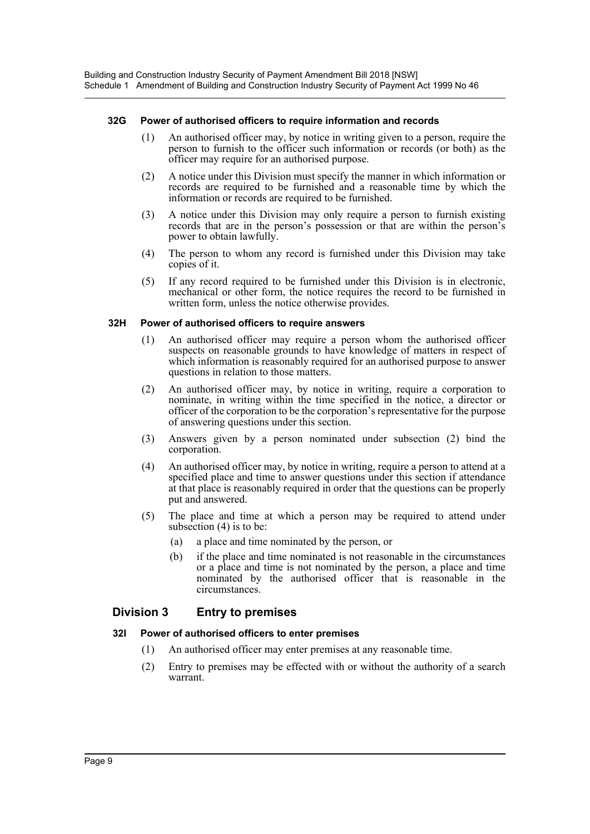#### **32G Power of authorised officers to require information and records**

- (1) An authorised officer may, by notice in writing given to a person, require the person to furnish to the officer such information or records (or both) as the officer may require for an authorised purpose.
- (2) A notice under this Division must specify the manner in which information or records are required to be furnished and a reasonable time by which the information or records are required to be furnished.
- (3) A notice under this Division may only require a person to furnish existing records that are in the person's possession or that are within the person's power to obtain lawfully.
- (4) The person to whom any record is furnished under this Division may take copies of it.
- (5) If any record required to be furnished under this Division is in electronic, mechanical or other form, the notice requires the record to be furnished in written form, unless the notice otherwise provides.

#### **32H Power of authorised officers to require answers**

- (1) An authorised officer may require a person whom the authorised officer suspects on reasonable grounds to have knowledge of matters in respect of which information is reasonably required for an authorised purpose to answer questions in relation to those matters.
- (2) An authorised officer may, by notice in writing, require a corporation to nominate, in writing within the time specified in the notice, a director or officer of the corporation to be the corporation's representative for the purpose of answering questions under this section.
- (3) Answers given by a person nominated under subsection (2) bind the corporation.
- (4) An authorised officer may, by notice in writing, require a person to attend at a specified place and time to answer questions under this section if attendance at that place is reasonably required in order that the questions can be properly put and answered.
- (5) The place and time at which a person may be required to attend under subsection (4) is to be:
	- (a) a place and time nominated by the person, or
	- (b) if the place and time nominated is not reasonable in the circumstances or a place and time is not nominated by the person, a place and time nominated by the authorised officer that is reasonable in the circumstances.

## **Division 3 Entry to premises**

## **32I Power of authorised officers to enter premises**

- (1) An authorised officer may enter premises at any reasonable time.
- (2) Entry to premises may be effected with or without the authority of a search warrant.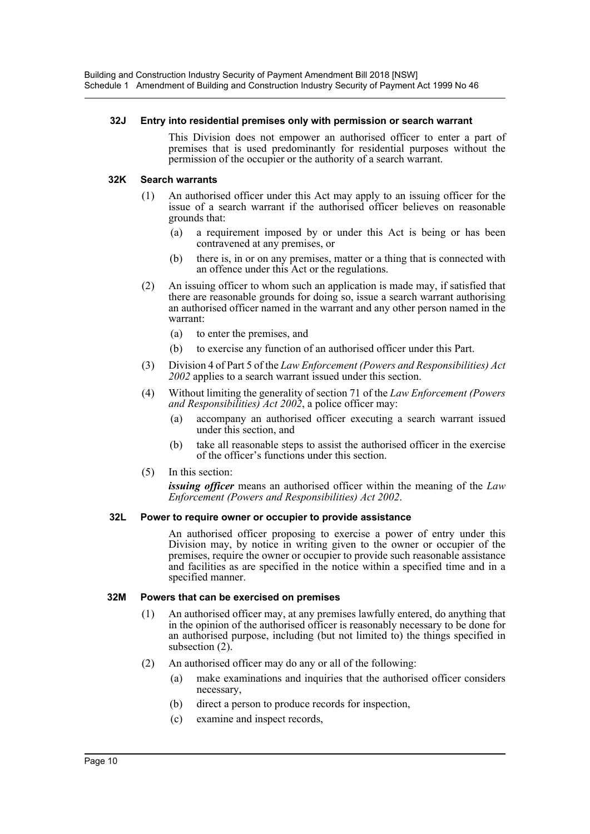#### **32J Entry into residential premises only with permission or search warrant**

This Division does not empower an authorised officer to enter a part of premises that is used predominantly for residential purposes without the permission of the occupier or the authority of a search warrant.

#### **32K Search warrants**

- (1) An authorised officer under this Act may apply to an issuing officer for the issue of a search warrant if the authorised officer believes on reasonable grounds that:
	- (a) a requirement imposed by or under this Act is being or has been contravened at any premises, or
	- (b) there is, in or on any premises, matter or a thing that is connected with an offence under this Act or the regulations.
- (2) An issuing officer to whom such an application is made may, if satisfied that there are reasonable grounds for doing so, issue a search warrant authorising an authorised officer named in the warrant and any other person named in the warrant:
	- (a) to enter the premises, and
	- (b) to exercise any function of an authorised officer under this Part.
- (3) Division 4 of Part 5 of the *Law Enforcement (Powers and Responsibilities) Act 2002* applies to a search warrant issued under this section.
- (4) Without limiting the generality of section 71 of the *Law Enforcement (Powers and Responsibilities) Act 2002*, a police officer may:
	- (a) accompany an authorised officer executing a search warrant issued under this section, and
	- (b) take all reasonable steps to assist the authorised officer in the exercise of the officer's functions under this section.
- (5) In this section:

*issuing officer* means an authorised officer within the meaning of the *Law Enforcement (Powers and Responsibilities) Act 2002*.

#### **32L Power to require owner or occupier to provide assistance**

An authorised officer proposing to exercise a power of entry under this Division may, by notice in writing given to the owner or occupier of the premises, require the owner or occupier to provide such reasonable assistance and facilities as are specified in the notice within a specified time and in a specified manner.

#### **32M Powers that can be exercised on premises**

- (1) An authorised officer may, at any premises lawfully entered, do anything that in the opinion of the authorised officer is reasonably necessary to be done for an authorised purpose, including (but not limited to) the things specified in subsection (2).
- (2) An authorised officer may do any or all of the following:
	- (a) make examinations and inquiries that the authorised officer considers necessary,
	- (b) direct a person to produce records for inspection,
	- (c) examine and inspect records,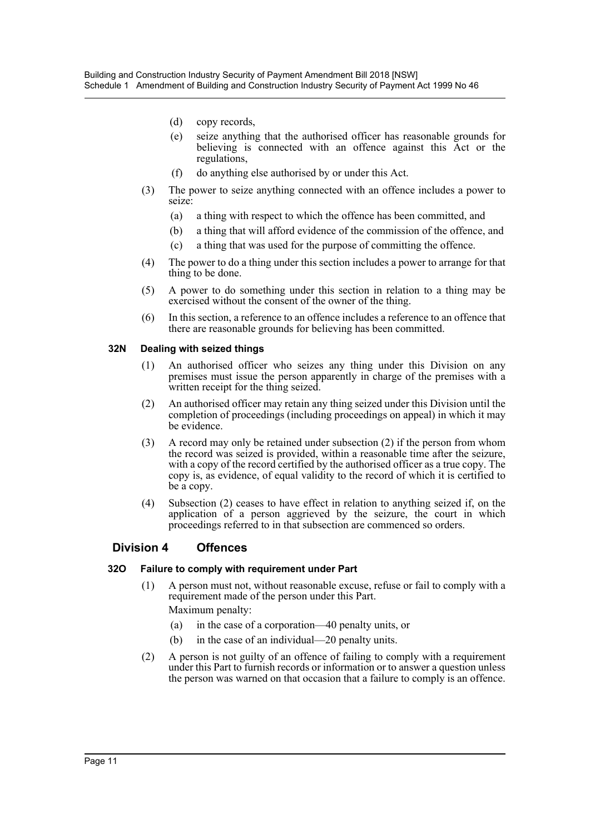- (d) copy records,
- (e) seize anything that the authorised officer has reasonable grounds for believing is connected with an offence against this Act or the regulations,
- (f) do anything else authorised by or under this Act.
- (3) The power to seize anything connected with an offence includes a power to seize:
	- (a) a thing with respect to which the offence has been committed, and
	- (b) a thing that will afford evidence of the commission of the offence, and
	- (c) a thing that was used for the purpose of committing the offence.
- (4) The power to do a thing under this section includes a power to arrange for that thing to be done.
- (5) A power to do something under this section in relation to a thing may be exercised without the consent of the owner of the thing.
- (6) In this section, a reference to an offence includes a reference to an offence that there are reasonable grounds for believing has been committed.

#### **32N Dealing with seized things**

- (1) An authorised officer who seizes any thing under this Division on any premises must issue the person apparently in charge of the premises with a written receipt for the thing seized.
- (2) An authorised officer may retain any thing seized under this Division until the completion of proceedings (including proceedings on appeal) in which it may be evidence.
- (3) A record may only be retained under subsection (2) if the person from whom the record was seized is provided, within a reasonable time after the seizure, with a copy of the record certified by the authorised officer as a true copy. The copy is, as evidence, of equal validity to the record of which it is certified to be a copy.
- (4) Subsection (2) ceases to have effect in relation to anything seized if, on the application of a person aggrieved by the seizure, the court in which proceedings referred to in that subsection are commenced so orders.

## **Division 4 Offences**

#### **32O Failure to comply with requirement under Part**

- (1) A person must not, without reasonable excuse, refuse or fail to comply with a requirement made of the person under this Part. Maximum penalty:
	- (a) in the case of a corporation—40 penalty units, or
	- (b) in the case of an individual—20 penalty units.
- (2) A person is not guilty of an offence of failing to comply with a requirement under this Part to furnish records or information or to answer a question unless the person was warned on that occasion that a failure to comply is an offence.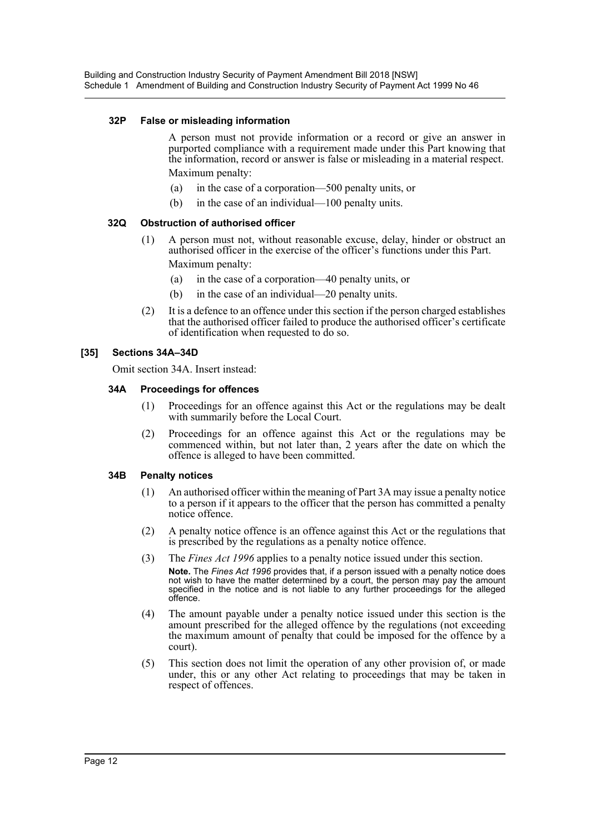#### **32P False or misleading information**

A person must not provide information or a record or give an answer in purported compliance with a requirement made under this Part knowing that the information, record or answer is false or misleading in a material respect. Maximum penalty:

- (a) in the case of a corporation—500 penalty units, or
- (b) in the case of an individual—100 penalty units.

#### **32Q Obstruction of authorised officer**

- (1) A person must not, without reasonable excuse, delay, hinder or obstruct an authorised officer in the exercise of the officer's functions under this Part. Maximum penalty:
	- (a) in the case of a corporation—40 penalty units, or
	- (b) in the case of an individual—20 penalty units.
- (2) It is a defence to an offence under this section if the person charged establishes that the authorised officer failed to produce the authorised officer's certificate of identification when requested to do so.

#### **[35] Sections 34A–34D**

Omit section 34A. Insert instead:

#### **34A Proceedings for offences**

- (1) Proceedings for an offence against this Act or the regulations may be dealt with summarily before the Local Court.
- (2) Proceedings for an offence against this Act or the regulations may be commenced within, but not later than, 2 years after the date on which the offence is alleged to have been committed.

#### **34B Penalty notices**

- (1) An authorised officer within the meaning of Part 3A may issue a penalty notice to a person if it appears to the officer that the person has committed a penalty notice offence.
- (2) A penalty notice offence is an offence against this Act or the regulations that is prescribed by the regulations as a penalty notice offence.
- (3) The *Fines Act 1996* applies to a penalty notice issued under this section. **Note.** The *Fines Act 1996* provides that, if a person issued with a penalty notice does not wish to have the matter determined by a court, the person may pay the amount specified in the notice and is not liable to any further proceedings for the alleged offence.
- (4) The amount payable under a penalty notice issued under this section is the amount prescribed for the alleged offence by the regulations (not exceeding the maximum amount of penalty that could be imposed for the offence by a court).
- (5) This section does not limit the operation of any other provision of, or made under, this or any other Act relating to proceedings that may be taken in respect of offences.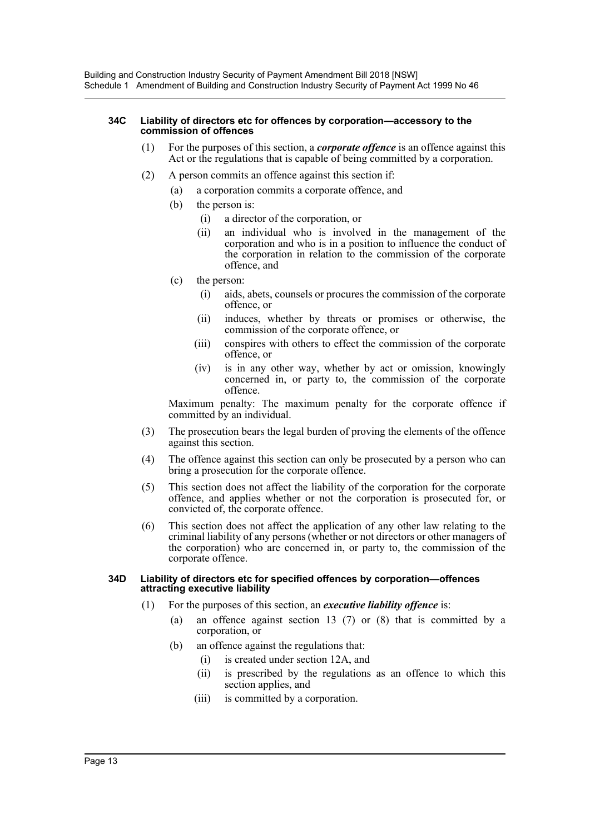#### **34C Liability of directors etc for offences by corporation—accessory to the commission of offences**

- (1) For the purposes of this section, a *corporate offence* is an offence against this Act or the regulations that is capable of being committed by a corporation.
- (2) A person commits an offence against this section if:
	- (a) a corporation commits a corporate offence, and
	- (b) the person is:
		- (i) a director of the corporation, or
		- (ii) an individual who is involved in the management of the corporation and who is in a position to influence the conduct of the corporation in relation to the commission of the corporate offence, and
	- (c) the person:
		- (i) aids, abets, counsels or procures the commission of the corporate offence, or
		- (ii) induces, whether by threats or promises or otherwise, the commission of the corporate offence, or
		- (iii) conspires with others to effect the commission of the corporate offence, or
		- (iv) is in any other way, whether by act or omission, knowingly concerned in, or party to, the commission of the corporate offence.

Maximum penalty: The maximum penalty for the corporate offence if committed by an individual.

- (3) The prosecution bears the legal burden of proving the elements of the offence against this section.
- (4) The offence against this section can only be prosecuted by a person who can bring a prosecution for the corporate offence.
- (5) This section does not affect the liability of the corporation for the corporate offence, and applies whether or not the corporation is prosecuted for, or convicted of, the corporate offence.
- (6) This section does not affect the application of any other law relating to the criminal liability of any persons (whether or not directors or other managers of the corporation) who are concerned in, or party to, the commission of the corporate offence.

#### **34D Liability of directors etc for specified offences by corporation—offences attracting executive liability**

- (1) For the purposes of this section, an *executive liability offence* is:
	- (a) an offence against section 13 (7) or (8) that is committed by a corporation, or
	- (b) an offence against the regulations that:
		- (i) is created under section 12A, and
		- (ii) is prescribed by the regulations as an offence to which this section applies, and
		- (iii) is committed by a corporation.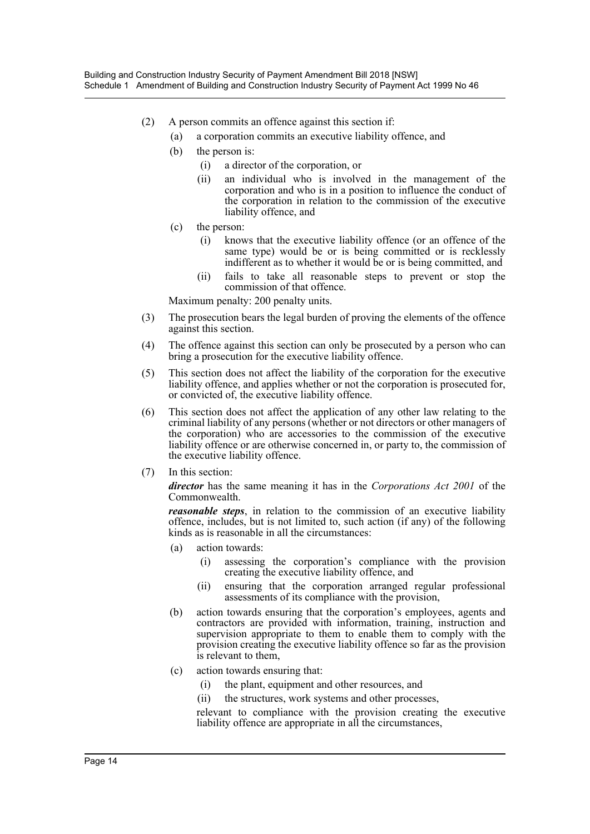- (2) A person commits an offence against this section if:
	- (a) a corporation commits an executive liability offence, and
	- (b) the person is:
		- (i) a director of the corporation, or
		- (ii) an individual who is involved in the management of the corporation and who is in a position to influence the conduct of the corporation in relation to the commission of the executive liability offence, and
	- (c) the person:
		- (i) knows that the executive liability offence (or an offence of the same type) would be or is being committed or is recklessly indifferent as to whether it would be or is being committed, and
		- (ii) fails to take all reasonable steps to prevent or stop the commission of that offence.

Maximum penalty: 200 penalty units.

- (3) The prosecution bears the legal burden of proving the elements of the offence against this section.
- (4) The offence against this section can only be prosecuted by a person who can bring a prosecution for the executive liability offence.
- (5) This section does not affect the liability of the corporation for the executive liability offence, and applies whether or not the corporation is prosecuted for, or convicted of, the executive liability offence.
- (6) This section does not affect the application of any other law relating to the criminal liability of any persons (whether or not directors or other managers of the corporation) who are accessories to the commission of the executive liability offence or are otherwise concerned in, or party to, the commission of the executive liability offence.
- (7) In this section:

*director* has the same meaning it has in the *Corporations Act 2001* of the Commonwealth.

*reasonable steps*, in relation to the commission of an executive liability offence, includes, but is not limited to, such action (if any) of the following kinds as is reasonable in all the circumstances:

- (a) action towards:
	- (i) assessing the corporation's compliance with the provision creating the executive liability offence, and
	- (ii) ensuring that the corporation arranged regular professional assessments of its compliance with the provision,
- (b) action towards ensuring that the corporation's employees, agents and contractors are provided with information, training, instruction and supervision appropriate to them to enable them to comply with the provision creating the executive liability offence so far as the provision is relevant to them,
- (c) action towards ensuring that:
	- (i) the plant, equipment and other resources, and
	- (ii) the structures, work systems and other processes,

relevant to compliance with the provision creating the executive liability offence are appropriate in all the circumstances,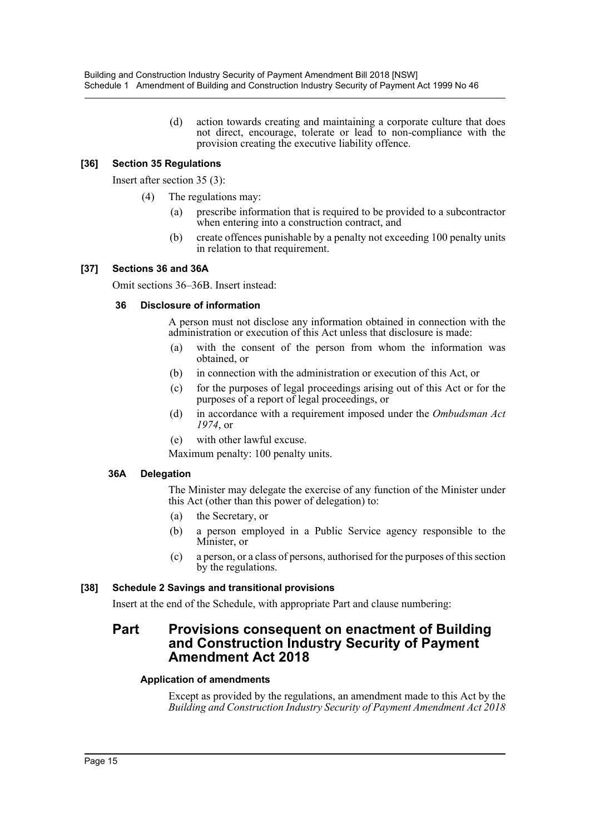(d) action towards creating and maintaining a corporate culture that does not direct, encourage, tolerate or lead to non-compliance with the provision creating the executive liability offence.

## **[36] Section 35 Regulations**

Insert after section 35 (3):

- (4) The regulations may:
	- (a) prescribe information that is required to be provided to a subcontractor when entering into a construction contract, and
	- (b) create offences punishable by a penalty not exceeding 100 penalty units in relation to that requirement.

#### **[37] Sections 36 and 36A**

Omit sections 36–36B. Insert instead:

#### **36 Disclosure of information**

A person must not disclose any information obtained in connection with the administration or execution of this Act unless that disclosure is made:

- (a) with the consent of the person from whom the information was obtained, or
- (b) in connection with the administration or execution of this Act, or
- (c) for the purposes of legal proceedings arising out of this Act or for the purposes of a report of legal proceedings, or
- (d) in accordance with a requirement imposed under the *Ombudsman Act 1974*, or
- (e) with other lawful excuse.

Maximum penalty: 100 penalty units.

#### **36A Delegation**

The Minister may delegate the exercise of any function of the Minister under this Act (other than this power of delegation) to:

- (a) the Secretary, or
- (b) a person employed in a Public Service agency responsible to the Minister, or
- (c) a person, or a class of persons, authorised for the purposes of this section by the regulations.

## **[38] Schedule 2 Savings and transitional provisions**

Insert at the end of the Schedule, with appropriate Part and clause numbering:

## **Part Provisions consequent on enactment of Building and Construction Industry Security of Payment Amendment Act 2018**

#### **Application of amendments**

Except as provided by the regulations, an amendment made to this Act by the *Building and Construction Industry Security of Payment Amendment Act 2018*